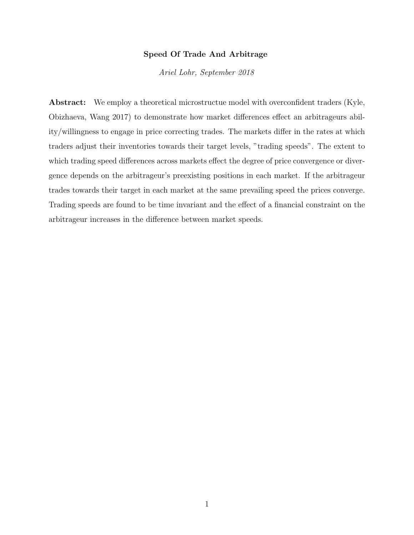#### Speed Of Trade And Arbitrage

Ariel Lohr, September 2018

Abstract: We employ a theoretical microstructue model with overconfident traders (Kyle, Obizhaeva, Wang 2017) to demonstrate how market differences effect an arbitrageurs ability/willingness to engage in price correcting trades. The markets differ in the rates at which traders adjust their inventories towards their target levels, "trading speeds". The extent to which trading speed differences across markets effect the degree of price convergence or divergence depends on the arbitrageur's preexisting positions in each market. If the arbitrageur trades towards their target in each market at the same prevailing speed the prices converge. Trading speeds are found to be time invariant and the effect of a financial constraint on the arbitrageur increases in the difference between market speeds.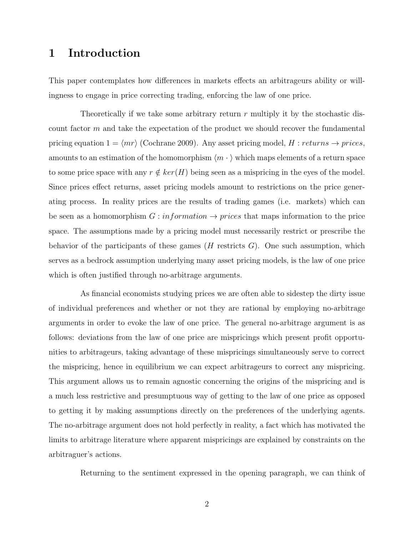# 1 Introduction

This paper contemplates how differences in markets effects an arbitrageurs ability or willingness to engage in price correcting trading, enforcing the law of one price.

Theoretically if we take some arbitrary return  $r$  multiply it by the stochastic discount factor m and take the expectation of the product we should recover the fundamental pricing equation  $1 = \langle mr \rangle$  (Cochrane 2009). Any asset pricing model, H : returns  $\rightarrow$  prices, amounts to an estimation of the homomorphism  $\langle m \cdot \rangle$  which maps elements of a return space to some price space with any  $r \notin ker(H)$  being seen as a mispricing in the eyes of the model. Since prices effect returns, asset pricing models amount to restrictions on the price generating process. In reality prices are the results of trading games (i.e. markets) which can be seen as a homomorphism  $G : information \rightarrow prices$  that maps information to the price space. The assumptions made by a pricing model must necessarily restrict or prescribe the behavior of the participants of these games  $(H$  restricts  $G$ ). One such assumption, which serves as a bedrock assumption underlying many asset pricing models, is the law of one price which is often justified through no-arbitrage arguments.

As financial economists studying prices we are often able to sidestep the dirty issue of individual preferences and whether or not they are rational by employing no-arbitrage arguments in order to evoke the law of one price. The general no-arbitrage argument is as follows: deviations from the law of one price are mispricings which present profit opportunities to arbitrageurs, taking advantage of these mispricings simultaneously serve to correct the mispricing, hence in equilibrium we can expect arbitrageurs to correct any mispricing. This argument allows us to remain agnostic concerning the origins of the mispricing and is a much less restrictive and presumptuous way of getting to the law of one price as opposed to getting it by making assumptions directly on the preferences of the underlying agents. The no-arbitrage argument does not hold perfectly in reality, a fact which has motivated the limits to arbitrage literature where apparent mispricings are explained by constraints on the arbitraguer's actions.

Returning to the sentiment expressed in the opening paragraph, we can think of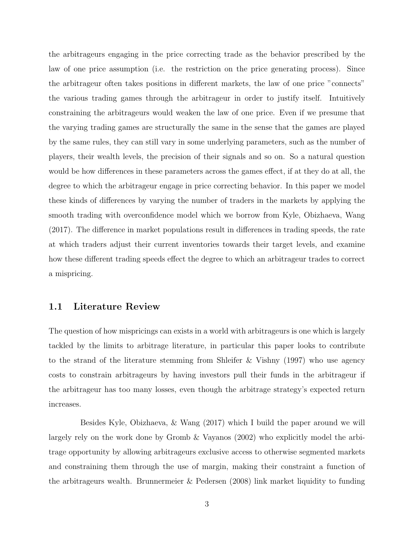the arbitrageurs engaging in the price correcting trade as the behavior prescribed by the law of one price assumption (i.e. the restriction on the price generating process). Since the arbitrageur often takes positions in different markets, the law of one price "connects" the various trading games through the arbitrageur in order to justify itself. Intuitively constraining the arbitrageurs would weaken the law of one price. Even if we presume that the varying trading games are structurally the same in the sense that the games are played by the same rules, they can still vary in some underlying parameters, such as the number of players, their wealth levels, the precision of their signals and so on. So a natural question would be how differences in these parameters across the games effect, if at they do at all, the degree to which the arbitrageur engage in price correcting behavior. In this paper we model these kinds of differences by varying the number of traders in the markets by applying the smooth trading with overconfidence model which we borrow from Kyle, Obizhaeva, Wang (2017). The difference in market populations result in differences in trading speeds, the rate at which traders adjust their current inventories towards their target levels, and examine how these different trading speeds effect the degree to which an arbitrageur trades to correct a mispricing.

### 1.1 Literature Review

The question of how mispricings can exists in a world with arbitrageurs is one which is largely tackled by the limits to arbitrage literature, in particular this paper looks to contribute to the strand of the literature stemming from Shleifer & Vishny (1997) who use agency costs to constrain arbitrageurs by having investors pull their funds in the arbitrageur if the arbitrageur has too many losses, even though the arbitrage strategy's expected return increases.

Besides Kyle, Obizhaeva, & Wang (2017) which I build the paper around we will largely rely on the work done by Gromb & Vayanos (2002) who explicitly model the arbitrage opportunity by allowing arbitrageurs exclusive access to otherwise segmented markets and constraining them through the use of margin, making their constraint a function of the arbitrageurs wealth. Brunnermeier & Pedersen (2008) link market liquidity to funding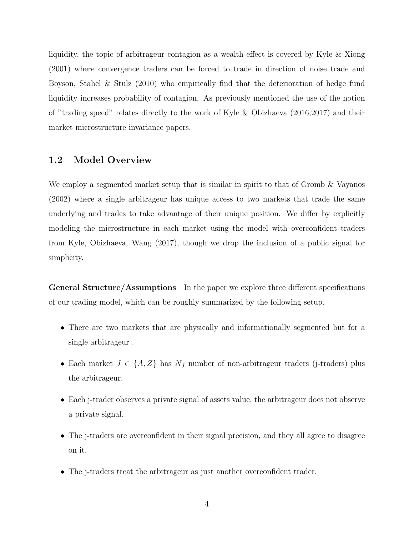liquidity, the topic of arbitrageur contagion as a wealth effect is covered by Kyle & Xiong (2001) where convergence traders can be forced to trade in direction of noise trade and Boyson, Stahel & Stulz (2010) who empirically find that the deterioration of hedge fund liquidity increases probability of contagion. As previously mentioned the use of the notion of "trading speed" relates directly to the work of Kyle & Obizhaeva (2016,2017) and their market microstructure invariance papers.

#### 1.2 Model Overview

We employ a segmented market setup that is similar in spirit to that of Gromb & Vayanos (2002) where a single arbitrageur has unique access to two markets that trade the same underlying and trades to take advantage of their unique position. We differ by explicitly modeling the microstructure in each market using the model with overconfident traders from Kyle, Obizhaeva, Wang (2017), though we drop the inclusion of a public signal for simplicity.

General Structure/Assumptions In the paper we explore three different specifications of our trading model, which can be roughly summarized by the following setup.

- There are two markets that are physically and informationally segmented but for a single arbitrageur .
- Each market  $J \in \{A, Z\}$  has  $N_J$  number of non-arbitrageur traders (j-traders) plus the arbitrageur.
- Each j-trader observes a private signal of assets value, the arbitrageur does not observe a private signal.
- The j-traders are overconfident in their signal precision, and they all agree to disagree on it.
- The j-traders treat the arbitrageur as just another overconfident trader.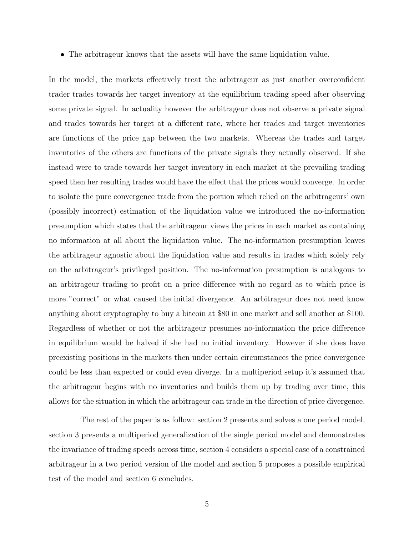• The arbitrageur knows that the assets will have the same liquidation value.

In the model, the markets effectively treat the arbitrageur as just another overconfident trader trades towards her target inventory at the equilibrium trading speed after observing some private signal. In actuality however the arbitrageur does not observe a private signal and trades towards her target at a different rate, where her trades and target inventories are functions of the price gap between the two markets. Whereas the trades and target inventories of the others are functions of the private signals they actually observed. If she instead were to trade towards her target inventory in each market at the prevailing trading speed then her resulting trades would have the effect that the prices would converge. In order to isolate the pure convergence trade from the portion which relied on the arbitrageurs' own (possibly incorrect) estimation of the liquidation value we introduced the no-information presumption which states that the arbitrageur views the prices in each market as containing no information at all about the liquidation value. The no-information presumption leaves the arbitrageur agnostic about the liquidation value and results in trades which solely rely on the arbitrageur's privileged position. The no-information presumption is analogous to an arbitrageur trading to profit on a price difference with no regard as to which price is more "correct" or what caused the initial divergence. An arbitrageur does not need know anything about cryptography to buy a bitcoin at \$80 in one market and sell another at \$100. Regardless of whether or not the arbitrageur presumes no-information the price difference in equilibrium would be halved if she had no initial inventory. However if she does have preexisting positions in the markets then under certain circumstances the price convergence could be less than expected or could even diverge. In a multiperiod setup it's assumed that the arbitrageur begins with no inventories and builds them up by trading over time, this allows for the situation in which the arbitrageur can trade in the direction of price divergence.

The rest of the paper is as follow: section 2 presents and solves a one period model, section 3 presents a multiperiod generalization of the single period model and demonstrates the invariance of trading speeds across time, section 4 considers a special case of a constrained arbitrageur in a two period version of the model and section 5 proposes a possible empirical test of the model and section 6 concludes.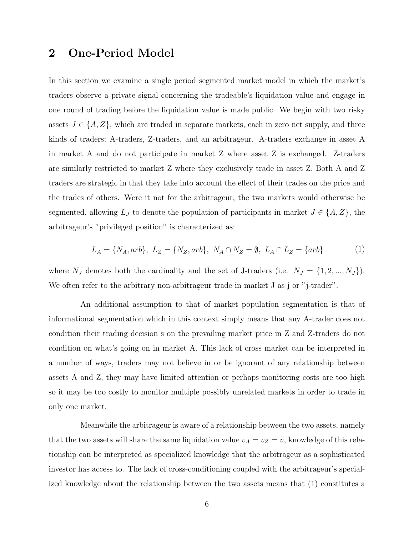# 2 One-Period Model

In this section we examine a single period segmented market model in which the market's traders observe a private signal concerning the tradeable's liquidation value and engage in one round of trading before the liquidation value is made public. We begin with two risky assets  $J \in \{A, Z\}$ , which are traded in separate markets, each in zero net supply, and three kinds of traders; A-traders, Z-traders, and an arbitrageur. A-traders exchange in asset A in market A and do not participate in market Z where asset Z is exchanged. Z-traders are similarly restricted to market Z where they exclusively trade in asset Z. Both A and Z traders are strategic in that they take into account the effect of their trades on the price and the trades of others. Were it not for the arbitrageur, the two markets would otherwise be segmented, allowing  $L_J$  to denote the population of participants in market  $J \in \{A, Z\}$ , the arbitrageur's "privileged position" is characterized as:

$$
L_A = \{N_A, arb\}, \ L_Z = \{N_Z, arb\}, \ N_A \cap N_Z = \emptyset, \ L_A \cap L_Z = \{arb\}
$$
 (1)

where  $N_J$  denotes both the cardinality and the set of J-traders (i.e.  $N_J = \{1, 2, ..., N_J\}$ ). We often refer to the arbitrary non-arbitrageur trade in market J as j or "j-trader".

An additional assumption to that of market population segmentation is that of informational segmentation which in this context simply means that any A-trader does not condition their trading decision s on the prevailing market price in Z and Z-traders do not condition on what's going on in market A. This lack of cross market can be interpreted in a number of ways, traders may not believe in or be ignorant of any relationship between assets A and Z, they may have limited attention or perhaps monitoring costs are too high so it may be too costly to monitor multiple possibly unrelated markets in order to trade in only one market.

Meanwhile the arbitrageur is aware of a relationship between the two assets, namely that the two assets will share the same liquidation value  $v_A = v_Z = v$ , knowledge of this relationship can be interpreted as specialized knowledge that the arbitrageur as a sophisticated investor has access to. The lack of cross-conditioning coupled with the arbitrageur's specialized knowledge about the relationship between the two assets means that (1) constitutes a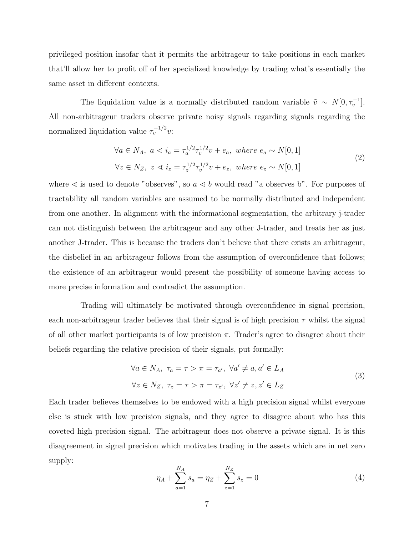privileged position insofar that it permits the arbitrageur to take positions in each market that'll allow her to profit off of her specialized knowledge by trading what's essentially the same asset in different contexts.

The liquidation value is a normally distributed random variable  $\tilde{v} \sim N[0, \tau_v^{-1}]$ . All non-arbitrageur traders observe private noisy signals regarding signals regarding the normalized liquidation value  $\tau_v^{-1/2}v$ :

$$
\forall a \in N_A, \ a \lessdot i_a = \tau_a^{1/2} \tau_v^{1/2} v + e_a, \ where \ e_a \sim N[0, 1]
$$
  

$$
\forall z \in N_Z, \ z \lessdot i_z = \tau_z^{1/2} \tau_v^{1/2} v + e_z, \ where \ e_z \sim N[0, 1]
$$
 (2)

where  $\leq$  is used to denote "observes", so  $a \leq b$  would read "a observes b". For purposes of tractability all random variables are assumed to be normally distributed and independent from one another. In alignment with the informational segmentation, the arbitrary j-trader can not distinguish between the arbitrageur and any other J-trader, and treats her as just another J-trader. This is because the traders don't believe that there exists an arbitrageur, the disbelief in an arbitrageur follows from the assumption of overconfidence that follows; the existence of an arbitrageur would present the possibility of someone having access to more precise information and contradict the assumption.

Trading will ultimately be motivated through overconfidence in signal precision, each non-arbitrageur trader believes that their signal is of high precision  $\tau$  whilst the signal of all other market participants is of low precision  $\pi$ . Trader's agree to disagree about their beliefs regarding the relative precision of their signals, put formally:

$$
\forall a \in N_A, \ \tau_a = \tau > \pi = \tau_{a'}, \ \forall a' \neq a, a' \in L_A
$$
  

$$
\forall z \in N_Z, \ \tau_z = \tau > \pi = \tau_{z'}, \ \forall z' \neq z, z' \in L_Z
$$

$$
(3)
$$

Each trader believes themselves to be endowed with a high precision signal whilst everyone else is stuck with low precision signals, and they agree to disagree about who has this coveted high precision signal. The arbitrageur does not observe a private signal. It is this disagreement in signal precision which motivates trading in the assets which are in net zero supply:

$$
\eta_A + \sum_{a=1}^{N_A} s_a = \eta_Z + \sum_{z=1}^{N_Z} s_z = 0
$$
\n(4)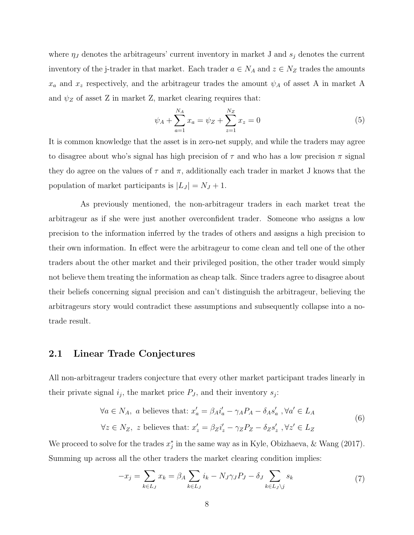where  $\eta_J$  denotes the arbitrageurs' current inventory in market J and  $s_j$  denotes the current inventory of the j-trader in that market. Each trader  $a \in N_A$  and  $z \in N_Z$  trades the amounts  $x_a$  and  $x_z$  respectively, and the arbitrageur trades the amount  $\psi_A$  of asset A in market A and  $\psi_Z$  of asset Z in market Z, market clearing requires that:

$$
\psi_A + \sum_{a=1}^{N_A} x_a = \psi_Z + \sum_{z=1}^{N_Z} x_z = 0
$$
\n(5)

It is common knowledge that the asset is in zero-net supply, and while the traders may agree to disagree about who's signal has high precision of  $\tau$  and who has a low precision  $\pi$  signal they do agree on the values of  $\tau$  and  $\pi$ , additionally each trader in market J knows that the population of market participants is  $|L_J| = N_J + 1$ .

As previously mentioned, the non-arbitrageur traders in each market treat the arbitrageur as if she were just another overconfident trader. Someone who assigns a low precision to the information inferred by the trades of others and assigns a high precision to their own information. In effect were the arbitrageur to come clean and tell one of the other traders about the other market and their privileged position, the other trader would simply not believe them treating the information as cheap talk. Since traders agree to disagree about their beliefs concerning signal precision and can't distinguish the arbitrageur, believing the arbitrageurs story would contradict these assumptions and subsequently collapse into a notrade result.

### 2.1 Linear Trade Conjectures

All non-arbitrageur traders conjecture that every other market participant trades linearly in their private signal  $i_j$ , the market price  $P_J$ , and their inventory  $s_j$ :

$$
\forall a \in N_A, \text{ a believes that: } x'_a = \beta_A i'_a - \gamma_A P_A - \delta_A s'_a , \forall a' \in L_A
$$
  

$$
\forall z \in N_Z, \text{ z believes that: } x'_z = \beta_Z i'_z - \gamma_Z P_Z - \delta_Z s'_z , \forall z' \in L_Z
$$

$$
(6)
$$

We proceed to solve for the trades  $x_j^*$  in the same way as in Kyle, Obizhaeva, & Wang (2017). Summing up across all the other traders the market clearing condition implies:

$$
-x_j = \sum_{k \in L_J} x_k = \beta_A \sum_{k \in L_J} i_k - N_J \gamma_J P_J - \delta_J \sum_{k \in L_J \setminus j} s_k \tag{7}
$$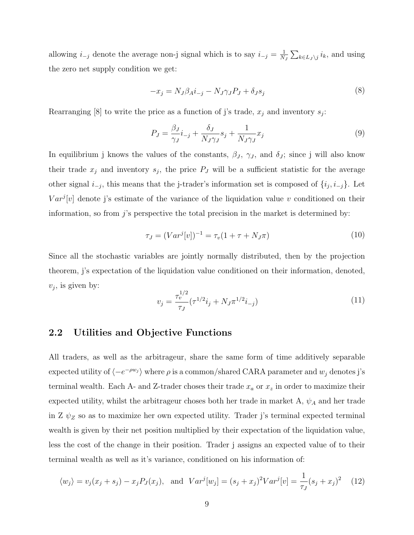allowing  $i_{-j}$  denote the average non-j signal which is to say  $i_{-j} = \frac{1}{N}$  $\frac{1}{N_J} \sum_{k \in L_J \setminus j} i_k$ , and using the zero net supply condition we get:

$$
-x_j = N_J \beta_A i_{-j} - N_J \gamma_J P_J + \delta_J s_j \tag{8}
$$

Rearranging [8] to write the price as a function of j's trade,  $x_j$  and inventory  $s_j$ :

$$
P_J = \frac{\beta_J}{\gamma_J} i_{-j} + \frac{\delta_J}{N_J \gamma_J} s_j + \frac{1}{N_J \gamma_J} x_j \tag{9}
$$

In equilibrium j knows the values of the constants,  $\beta_J$ ,  $\gamma_J$ , and  $\delta_J$ ; since j will also know their trade  $x_j$  and inventory  $s_j$ , the price  $P_j$  will be a sufficient statistic for the average other signal  $i_{-j}$ , this means that the j-trader's information set is composed of  $\{i_j, i_{-j}\}$ . Let  $Var^{j}[v]$  denote j's estimate of the variance of the liquidation value v conditioned on their information, so from  $j$ 's perspective the total precision in the market is determined by:

$$
\tau_J = (Var^j[v])^{-1} = \tau_v(1 + \tau + N_J\pi) \tag{10}
$$

Since all the stochastic variables are jointly normally distributed, then by the projection theorem, j's expectation of the liquidation value conditioned on their information, denoted,  $v_j$ , is given by:

$$
v_j = \frac{\tau_v^{1/2}}{\tau_J} (\tau^{1/2} i_j + N_J \pi^{1/2} i_{-j})
$$
\n(11)

#### 2.2 Utilities and Objective Functions

All traders, as well as the arbitrageur, share the same form of time additively separable expected utility of  $\langle -e^{-\rho w_j} \rangle$  where  $\rho$  is a common/shared CARA parameter and  $w_j$  denotes j's terminal wealth. Each A- and Z-trader choses their trade  $x_a$  or  $x_z$  in order to maximize their expected utility, whilst the arbitrageur choses both her trade in market A,  $\psi_A$  and her trade in Z  $\psi_Z$  so as to maximize her own expected utility. Trader j's terminal expected terminal wealth is given by their net position multiplied by their expectation of the liquidation value, less the cost of the change in their position. Trader j assigns an expected value of to their terminal wealth as well as it's variance, conditioned on his information of:

$$
\langle w_j \rangle = v_j(x_j + s_j) - x_j P_J(x_j)
$$
, and  $Var^j[w_j] = (s_j + x_j)^2 Var^j[v] = \frac{1}{\tau_j} (s_j + x_j)^2$  (12)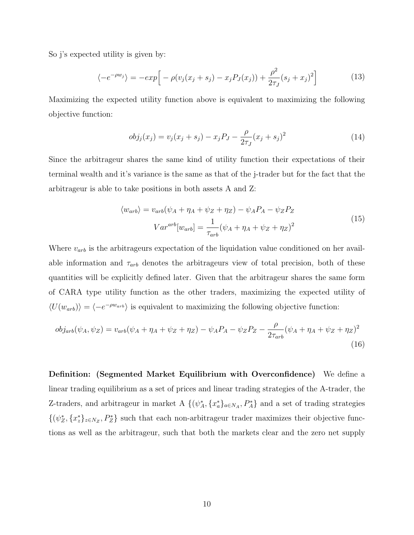So j's expected utility is given by:

$$
\langle -e^{-\rho w_j} \rangle = -\exp\Big[-\rho(v_j(x_j + s_j) - x_j P_J(x_j)) + \frac{\rho^2}{2\tau_J}(s_j + x_j)^2\Big]
$$
(13)

Maximizing the expected utility function above is equivalent to maximizing the following objective function:

$$
obj_j(x_j) = v_j(x_j + s_j) - x_j P_J - \frac{\rho}{2\tau_j}(x_j + s_j)^2
$$
\n(14)

Since the arbitrageur shares the same kind of utility function their expectations of their terminal wealth and it's variance is the same as that of the j-trader but for the fact that the arbitrageur is able to take positions in both assets A and Z:

$$
\langle w_{arb} \rangle = v_{arb}(\psi_A + \eta_A + \psi_Z + \eta_Z) - \psi_A P_A - \psi_Z P_Z
$$
  

$$
Var^{arb}[w_{arb}] = \frac{1}{\tau_{arb}}(\psi_A + \eta_A + \psi_Z + \eta_Z)^2
$$
 (15)

Where  $v_{arb}$  is the arbitrageurs expectation of the liquidation value conditioned on her available information and  $\tau_{arb}$  denotes the arbitrageurs view of total precision, both of these quantities will be explicitly defined later. Given that the arbitrageur shares the same form of CARA type utility function as the other traders, maximizing the expected utility of  $\langle U(w_{arb})\rangle = \langle -e^{-\rho w_{arb}}\rangle$  is equivalent to maximizing the following objective function:

$$
obj_{arb}(\psi_A, \psi_Z) = v_{arb}(\psi_A + \eta_A + \psi_Z + \eta_Z) - \psi_A P_A - \psi_Z P_Z - \frac{\rho}{2\tau_{arb}}(\psi_A + \eta_A + \psi_Z + \eta_Z)^2
$$
\n(16)

Definition: (Segmented Market Equilibrium with Overconfidence) We define a linear trading equilibrium as a set of prices and linear trading strategies of the A-trader, the Z-traders, and arbitrageur in market A  $\{(\psi_A^*, \{x_a^*\}_{a\in N_A}, P_A^*\}$  and a set of trading strategies  $\{(\psi_Z^*, \{x_z^*\}_{z\in N_Z}, P_Z^*\}\)$  such that each non-arbitrageur trader maximizes their objective functions as well as the arbitrageur, such that both the markets clear and the zero net supply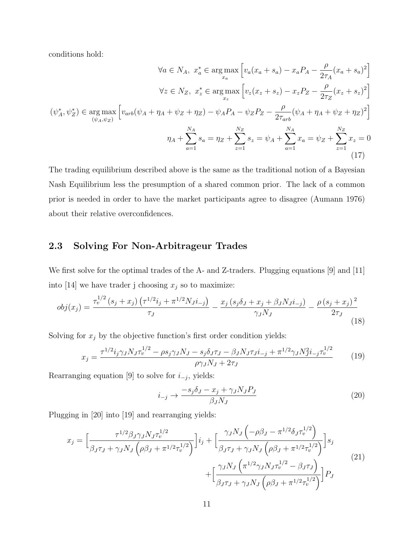conditions hold:

$$
\forall a \in N_A, \ x_a^* \in \arg\max_{x_a} \left[ v_a(x_a + s_a) - x_a P_A - \frac{\rho}{2\tau_A} (x_a + s_a)^2 \right]
$$

$$
\forall z \in N_Z, \ x_z^* \in \arg\max_{x_z} \left[ v_z(x_z + s_z) - x_z P_Z - \frac{\rho}{2\tau_Z} (x_z + s_z)^2 \right]
$$

$$
(\psi_A^*, \psi_Z^*) \in \arg\max_{(\psi_A, \psi_Z)} \left[ v_{arb}(\psi_A + \eta_A + \psi_Z + \eta_Z) - \psi_A P_A - \psi_Z P_Z - \frac{\rho}{2\tau_{arb}} (\psi_A + \eta_A + \psi_Z + \eta_Z)^2 \right]
$$

$$
\eta_A + \sum_{a=1}^{N_A} s_a = \eta_Z + \sum_{z=1}^{N_Z} s_z = \psi_A + \sum_{a=1}^{N_A} x_a = \psi_Z + \sum_{z=1}^{N_Z} x_z = 0
$$
(17)

The trading equilibrium described above is the same as the traditional notion of a Bayesian Nash Equilibrium less the presumption of a shared common prior. The lack of a common prior is needed in order to have the market participants agree to disagree (Aumann 1976) about their relative overconfidences.

# 2.3 Solving For Non-Arbitrageur Trades

We first solve for the optimal trades of the A- and Z-traders. Plugging equations [9] and [11] into [14] we have trader j choosing  $x_j$  so to maximize:

$$
obj(x_j) = \frac{\tau_v^{1/2} (s_j + x_j) \left( \tau^{1/2} i_j + \pi^{1/2} N_j i_{-j} \right)}{\tau_J} - \frac{x_j \left( s_j \delta_J + x_j + \beta_J N_j i_{-j} \right)}{\gamma_J N_J} - \frac{\rho \left( s_j + x_j \right)^2}{2 \tau_J} \tag{18}
$$

Solving for  $x_j$  by the objective function's first order condition yields:

$$
x_j = \frac{\tau^{1/2} i_j \gamma_J N_J \tau_v^{1/2} - \rho s_j \gamma_J N_J - s_j \delta_J \tau_J - \beta_J N_J \tau_J i_{-j} + \pi^{1/2} \gamma_J N_J^2 i_{-j} \tau_v^{1/2}}{\rho \gamma_J N_J + 2 \tau_J} \tag{19}
$$

Rearranging equation [9] to solve for  $i_{-j}$ , yields:

$$
i_{-j} \rightarrow \frac{-s_j \delta_J - x_j + \gamma_J N_J P_J}{\beta_J N_J} \tag{20}
$$

Plugging in [20] into [19] and rearranging yields:

$$
x_{j} = \left[\frac{\tau^{1/2}\beta_{J}\gamma_{J}N_{J}\tau_{v}^{1/2}}{\beta_{J}\tau_{J} + \gamma_{J}N_{J}\left(\rho\beta_{J} + \pi^{1/2}\tau_{v}^{1/2}\right)}\right]i_{j} + \left[\frac{\gamma_{J}N_{J}\left(-\rho\beta_{J} - \pi^{1/2}\delta_{J}\tau_{v}^{1/2}\right)}{\beta_{J}\tau_{J} + \gamma_{J}N_{J}\left(\rho\beta_{J} + \pi^{1/2}\tau_{v}^{1/2}\right)}\right]s_{j} + \left[\frac{\gamma_{J}N_{J}\left(\pi^{1/2}\gamma_{J}N_{J}\tau_{v}^{1/2} - \beta_{J}\tau_{J}\right)}{\beta_{J}\tau_{J} + \gamma_{J}N_{J}\left(\rho\beta_{J} + \pi^{1/2}\tau_{v}^{1/2}\right)}\right]P_{j}
$$
(21)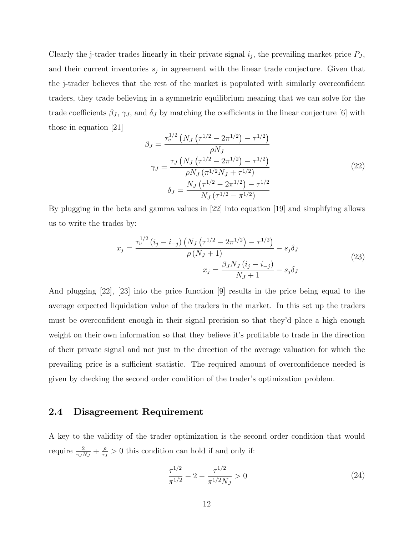Clearly the j-trader trades linearly in their private signal  $i_j$ , the prevailing market price  $P_J$ , and their current inventories  $s_j$  in agreement with the linear trade conjecture. Given that the j-trader believes that the rest of the market is populated with similarly overconfident traders, they trade believing in a symmetric equilibrium meaning that we can solve for the trade coefficients  $\beta_J$ ,  $\gamma_J$ , and  $\delta_J$  by matching the coefficients in the linear conjecture [6] with those in equation [21]

$$
\beta_J = \frac{\tau_v^{1/2} \left( N_J \left( \tau^{1/2} - 2\pi^{1/2} \right) - \tau^{1/2} \right)}{\rho N_J}
$$
\n
$$
\gamma_J = \frac{\tau_J \left( N_J \left( \tau^{1/2} - 2\pi^{1/2} \right) - \tau^{1/2} \right)}{\rho N_J \left( \pi^{1/2} N_J + \tau^{1/2} \right)}
$$
\n
$$
\delta_J = \frac{N_J \left( \tau^{1/2} - 2\pi^{1/2} \right) - \tau^{1/2}}{N_J \left( \tau^{1/2} - \pi^{1/2} \right)}
$$
\n(22)

By plugging in the beta and gamma values in [22] into equation [19] and simplifying allows us to write the trades by:

$$
x_j = \frac{\tau_v^{1/2} (i_j - i_{-j}) \left( N_J \left( \tau^{1/2} - 2\pi^{1/2} \right) - \tau^{1/2} \right)}{\rho \left( N_J + 1 \right)} - s_j \delta_J
$$
  

$$
x_j = \frac{\beta_J N_J (i_j - i_{-j})}{N_J + 1} - s_j \delta_J
$$
 (23)

And plugging [22], [23] into the price function [9] results in the price being equal to the average expected liquidation value of the traders in the market. In this set up the traders must be overconfident enough in their signal precision so that they'd place a high enough weight on their own information so that they believe it's profitable to trade in the direction of their private signal and not just in the direction of the average valuation for which the prevailing price is a sufficient statistic. The required amount of overconfidence needed is given by checking the second order condition of the trader's optimization problem.

### 2.4 Disagreement Requirement

A key to the validity of the trader optimization is the second order condition that would require  $\frac{2}{\gamma_J N_J} + \frac{\rho}{\tau_J}$  $\frac{\rho}{\tau_J} > 0$  this condition can hold if and only if:

$$
\frac{\tau^{1/2}}{\pi^{1/2}} - 2 - \frac{\tau^{1/2}}{\pi^{1/2} N_J} > 0
$$
\n(24)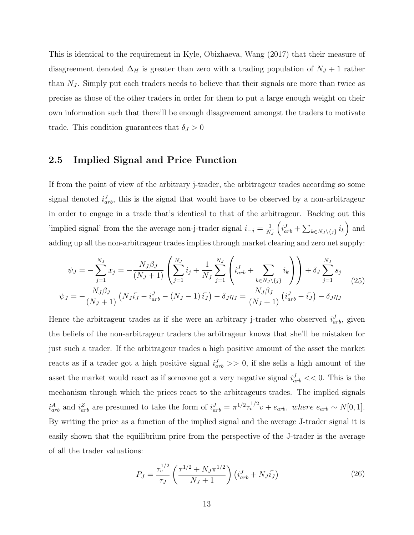This is identical to the requirement in Kyle, Obizhaeva, Wang (2017) that their measure of disagreement denoted  $\Delta_H$  is greater than zero with a trading population of  $N_J + 1$  rather than  $N_J$ . Simply put each traders needs to believe that their signals are more than twice as precise as those of the other traders in order for them to put a large enough weight on their own information such that there'll be enough disagreement amongst the traders to motivate trade. This condition guarantees that  $\delta_J > 0$ 

### 2.5 Implied Signal and Price Function

If from the point of view of the arbitrary j-trader, the arbitrageur trades according so some signal denoted  $i_{arb}^J$ , this is the signal that would have to be observed by a non-arbitrageur in order to engage in a trade that's identical to that of the arbitrageur. Backing out this 'implied signal' from the the average non-j-trader signal  $i_{-j} = \frac{1}{N}$  $N_J$  $\left(i_{arb}^J + \sum_{k \in N_J \setminus \{j\}} i_k\right)$  and adding up all the non-arbitrageur trades implies through market clearing and zero net supply:

$$
\psi_J = -\sum_{j=1}^{N_J} x_j = -\frac{N_J \beta_J}{(N_J+1)} \left( \sum_{j=1}^{N_J} i_j + \frac{1}{N_J} \sum_{j=1}^{N_J} \left( i_{arb}^J + \sum_{k \in N_J \setminus \{j\}} i_k \right) \right) + \delta_J \sum_{j=1}^{N_J} s_j
$$
\n
$$
\psi_J = -\frac{N_J \beta_J}{(N_J+1)} \left( N_J \bar{i}_J - i_{arb}^J - (N_J-1) \bar{i}_J \right) - \delta_J \eta_J = \frac{N_J \beta_J}{(N_J+1)} \left( i_{arb}^J - i_J \right) - \delta_J \eta_J
$$
\n(25)

Hence the arbitrageur trades as if she were an arbitrary j-trader who observed  $i_{arb}^J$ , given the beliefs of the non-arbitrageur traders the arbitrageur knows that she'll be mistaken for just such a trader. If the arbitrageur trades a high positive amount of the asset the market reacts as if a trader got a high positive signal  $i_{arb}^J \gg 0$ , if she sells a high amount of the asset the market would react as if someone got a very negative signal  $i_{arb}^{J} << 0$ . This is the mechanism through which the prices react to the arbitrageurs trades. The implied signals  $i_{arb}^A$  and  $i_{arb}^Z$  are presumed to take the form of  $i_{arb}^J = \pi^{1/2} \tau_v^{1/2} v + e_{arb}$ , where  $e_{arb} \sim N[0, 1]$ . By writing the price as a function of the implied signal and the average J-trader signal it is easily shown that the equilibrium price from the perspective of the J-trader is the average of all the trader valuations:

$$
P_J = \frac{\tau_v^{1/2}}{\tau_J} \left( \frac{\tau^{1/2} + N_J \pi^{1/2}}{N_J + 1} \right) \left( i_{arb}^J + N_J \bar{i}_J \right) \tag{26}
$$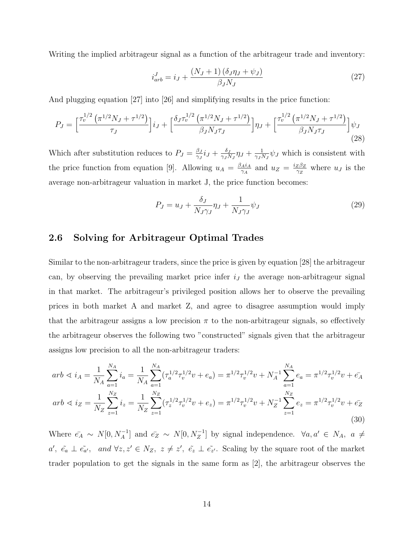Writing the implied arbitrageur signal as a function of the arbitrageur trade and inventory:

$$
i_{arb}^J = i_J + \frac{(N_J + 1)(\delta_J \eta_J + \psi_J)}{\beta_J N_J} \tag{27}
$$

And plugging equation [27] into [26] and simplifying results in the price function:

$$
P_J = \left[\frac{\tau_v^{1/2} \left(\pi^{1/2} N_J + \tau^{1/2}\right)}{\tau_J}\right] i_J + \left[\frac{\delta_J \tau_v^{1/2} \left(\pi^{1/2} N_J + \tau^{1/2}\right)}{\beta_J N_J \tau_J}\right] \eta_J + \left[\frac{\tau_v^{1/2} \left(\pi^{1/2} N_J + \tau^{1/2}\right)}{\beta_J N_J \tau_J}\right] \psi_J \tag{28}
$$

Which after substitution reduces to  $P_J = \frac{\beta_J}{\gamma_I}$  $\frac{\beta_J}{\gamma_J}i_J + \frac{\delta_J}{\gamma_J N}$  $\frac{\delta_J}{\gamma_J N_J}\eta_J + \frac{1}{\gamma_J N}$  $\frac{1}{\gamma_J N_J} \psi_J$  which is consistent with the price function from equation [9]. Allowing  $u_A = \frac{\beta_A i_A}{\gamma_A}$  $\frac{A i_A}{\gamma_A}$  and  $u_Z = \frac{i_Z \beta_Z}{\gamma_Z}$  $\frac{z\beta z}{\gamma z}$  where  $u_j$  is the average non-arbitrageur valuation in market J, the price function becomes:

$$
P_J = u_J + \frac{\delta_J}{N_J \gamma_J} \eta_J + \frac{1}{N_J \gamma_J} \psi_J \tag{29}
$$

## 2.6 Solving for Arbitrageur Optimal Trades

Similar to the non-arbitrageur traders, since the price is given by equation [28] the arbitrageur can, by observing the prevailing market price infer  $i<sub>J</sub>$  the average non-arbitrageur signal in that market. The arbitrageur's privileged position allows her to observe the prevailing prices in both market A and market Z, and agree to disagree assumption would imply that the arbitrageur assigns a low precision  $\pi$  to the non-arbitrageur signals, so effectively the arbitrageur observes the following two "constructed" signals given that the arbitrageur assigns low precision to all the non-arbitrageur traders:

$$
arb \le i_A = \frac{1}{N_A} \sum_{a=1}^{N_A} i_a = \frac{1}{N_A} \sum_{a=1}^{N_A} (\tau_a^{1/2} \tau_v^{1/2} v + e_a) = \pi^{1/2} \tau_v^{1/2} v + N_A^{-1} \sum_{a=1}^{N_A} e_a = \pi^{1/2} \tau_v^{1/2} v + \bar{e}_A
$$
  
\n
$$
arb \le i_Z = \frac{1}{N_Z} \sum_{z=1}^{N_Z} i_z = \frac{1}{N_Z} \sum_{z=1}^{N_Z} (\tau_z^{1/2} \tau_v^{1/2} v + e_z) = \pi^{1/2} \tau_v^{1/2} v + N_Z^{-1} \sum_{z=1}^{N_Z} e_z = \pi^{1/2} \tau_v^{1/2} v + \bar{e}_Z
$$
\n(30)

Where  $\bar{e}_A \sim N[0, N_A^{-1}]$  and  $\bar{e}_Z \sim N[0, N_Z^{-1}]$  by signal independence.  $\forall a, a' \in N_A$ ,  $a \neq$  $a', \tilde{e}_a \perp \tilde{e}_{a'}, \text{ and } \forall z, z' \in N_z, z \neq z', \tilde{e}_z \perp \tilde{e}_{z'}.$  Scaling by the square root of the market trader population to get the signals in the same form as [2], the arbitrageur observes the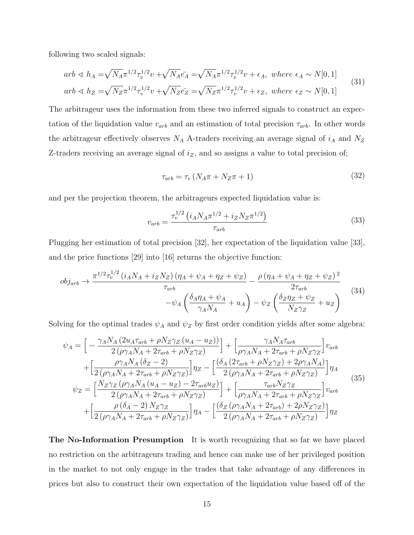following two scaled signals:

$$
arb \le h_A = \sqrt{N_A} \pi^{1/2} \tau_v^{1/2} v + \sqrt{N_A} \bar{e}_A = \sqrt{N_A} \pi^{1/2} \tau_v^{1/2} v + \epsilon_A, \text{ where } \epsilon_A \sim N[0, 1]
$$
  
\n
$$
arb \le h_Z = \sqrt{N_Z} \pi^{1/2} \tau_v^{1/2} v + \sqrt{N_Z} \bar{e}_Z = \sqrt{N_Z} \pi^{1/2} \tau_v^{1/2} v + \epsilon_Z, \text{ where } \epsilon_Z \sim N[0, 1]
$$
\n(31)

The arbitrageur uses the information from these two inferred signals to construct an expectation of the liquidation value  $v_{arb}$  and an estimation of total precision  $\tau_{arb}$ . In other words the arbitrageur effectively observes  $N_A$  A-traders receiving an average signal of  $i_A$  and  $N_Z$ Z-traders receiving an average signal of  $i_Z$ , and so assigns a value to total precision of;

$$
\tau_{arb} = \tau_v \left( N_A \pi + N_Z \pi + 1 \right) \tag{32}
$$

and per the projection theorem, the arbitrageurs expected liquidation value is:

$$
v_{arb} = \frac{\tau_v^{1/2} \left( i_A N_A \pi^{1/2} + i_Z N_Z \pi^{1/2} \right)}{\tau_{arb}} \tag{33}
$$

Plugging her estimation of total precision [32], her expectation of the liquidation value [33], and the price functions [29] into [16] returns the objective function:

$$
obj_{arb} \rightarrow \frac{\pi^{1/2} \tau_v^{1/2} \left(i_A N_A + i_Z N_Z\right) \left(\eta_A + \psi_A + \eta_Z + \psi_Z\right)}{\tau_{arb}} - \frac{\rho \left(\eta_A + \psi_A + \eta_Z + \psi_Z\right)^2}{2\tau_{arb}} - \psi_A \left(\frac{\delta_A \eta_A + \psi_A}{\gamma_A N_A} + u_A\right) - \psi_Z \left(\frac{\delta_Z \eta_Z + \psi_Z}{N_Z \gamma_Z} + u_Z\right)
$$
(34)

Solving for the optimal trades  $\psi_A$  and  $\psi_Z$  by first order condition yields after some algebra:

$$
\psi_{A} = \left[ -\frac{\gamma_{A}N_{A}\left(2u_{A}\tau_{arb} + \rho N_{Z}\gamma_{Z}\left(u_{A} - u_{Z}\right)\right)}{2\left(\rho\gamma_{A}N_{A} + 2\tau_{arb} + \rho N_{Z}\gamma_{Z}\right)}\right] + \left[ \frac{\gamma_{A}N_{A}\tau_{arb}}{\rho\gamma_{A}N_{A} + 2\tau_{arb} + \rho N_{Z}\gamma_{Z}}\right]v_{arb} \n+ \left[ \frac{\rho\gamma_{A}N_{A}\left(\delta_{Z} - 2\right)}{2\left(\rho\gamma_{A}N_{A} + 2\tau_{arb} + \rho N_{Z}\gamma_{Z}\right)}\right]\eta_{Z} - \left[ \frac{\left(\delta_{A}\left(2\tau_{arb} + \rho N_{Z}\gamma_{Z}\right) + 2\rho\gamma_{A}N_{A}\right)}{2\left(\rho\gamma_{A}N_{A} + 2\tau_{arb} + \rho N_{Z}\gamma_{Z}\right)}\right]\eta_{A} \n\psi_{Z} = \left[ \frac{N_{Z}\gamma_{Z}\left(\rho\gamma_{A}N_{A}\left(u_{A} - u_{Z}\right) - 2\tau_{arb}u_{Z}\right)}{2\left(\rho\gamma_{A}N_{A} + 2\tau_{arb} + \rho N_{Z}\gamma_{Z}\right)}\right] + \left[ \frac{\tau_{arb}N_{Z}\gamma_{Z}}{\rho\gamma_{A}N_{A} + 2\tau_{arb} + \rho N_{Z}\gamma_{Z}}\right]v_{arb} \n+ \left[ \frac{\rho\left(\delta_{A} - 2\right)N_{Z}\gamma_{Z}}{2\left(\rho\gamma_{A}N_{A} + 2\tau_{arb} + \rho N_{Z}\gamma_{Z}\right)}\right]\eta_{A} - \left[ \frac{\left(\delta_{Z}\left(\rho\gamma_{A}N_{A} + 2\tau_{arb} + \rho N_{Z}\gamma_{Z}\right)}{2\left(\rho\gamma_{A}N_{A} + 2\tau_{arb} + \rho N_{Z}\gamma_{Z}\right)}\right]\eta_{Z} \right]
$$
\n(35)

The No-Information Presumption It is worth recognizing that so far we have placed no restriction on the arbitrageurs trading and hence can make use of her privileged position in the market to not only engage in the trades that take advantage of any differences in prices but also to construct their own expectation of the liquidation value based off of the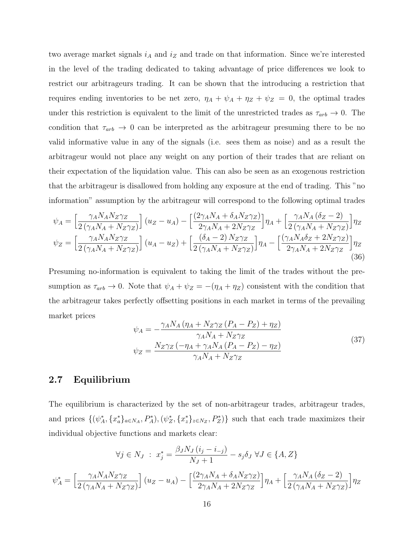two average market signals  $i_A$  and  $i_Z$  and trade on that information. Since we're interested in the level of the trading dedicated to taking advantage of price differences we look to restrict our arbitrageurs trading. It can be shown that the introducing a restriction that requires ending inventories to be net zero,  $\eta_A + \psi_A + \eta_Z + \psi_Z = 0$ , the optimal trades under this restriction is equivalent to the limit of the unrestricted trades as  $\tau_{arb} \to 0$ . The condition that  $\tau_{arb} \to 0$  can be interpreted as the arbitrageur presuming there to be no valid informative value in any of the signals (i.e. sees them as noise) and as a result the arbitrageur would not place any weight on any portion of their trades that are reliant on their expectation of the liquidation value. This can also be seen as an exogenous restriction that the arbitrageur is disallowed from holding any exposure at the end of trading. This "no information" assumption by the arbitrageur will correspond to the following optimal trades

$$
\psi_A = \left[\frac{\gamma_A N_A N_Z \gamma_Z}{2\left(\gamma_A N_A + N_Z \gamma_Z\right)}\right] (u_Z - u_A) - \left[\frac{(2\gamma_A N_A + \delta_A N_Z \gamma_Z)}{2\gamma_A N_A + 2N_Z \gamma_Z}\right] \eta_A + \left[\frac{\gamma_A N_A (\delta_Z - 2)}{2\left(\gamma_A N_A + N_Z \gamma_Z\right)}\right] \eta_Z
$$
  

$$
\psi_Z = \left[\frac{\gamma_A N_A N_Z \gamma_Z}{2\left(\gamma_A N_A + N_Z \gamma_Z\right)}\right] (u_A - u_Z) + \left[\frac{(\delta_A - 2) N_Z \gamma_Z}{2\left(\gamma_A N_A + N_Z \gamma_Z\right)}\right] \eta_A - \left[\frac{(\gamma_A N_A \delta_Z + 2N_Z \gamma_Z)}{2\gamma_A N_A + 2N_Z \gamma_Z}\right] \eta_Z
$$
(36)

Presuming no-information is equivalent to taking the limit of the trades without the presumption as  $\tau_{arb} \to 0$ . Note that  $\psi_A + \psi_Z = -(\eta_A + \eta_Z)$  consistent with the condition that the arbitrageur takes perfectly offsetting positions in each market in terms of the prevailing market prices

$$
\psi_A = -\frac{\gamma_A N_A \left(\eta_A + N_Z \gamma_Z \left(P_A - P_Z\right) + \eta_Z\right)}{\gamma_A N_A + N_Z \gamma_Z}
$$
\n
$$
\psi_Z = \frac{N_Z \gamma_Z \left(-\eta_A + \gamma_A N_A \left(P_A - P_Z\right) - \eta_Z\right)}{\gamma_A N_A + N_Z \gamma_Z} \tag{37}
$$

## 2.7 Equilibrium

The equilibrium is characterized by the set of non-arbitrageur trades, arbitrageur trades, and prices  $\{(\psi_A^*, \{x_a^*\}_{a\in N_A}, P_A^*), (\psi_Z^*, \{x_z^*\}_{z\in N_Z}, P_Z^*)\}$  such that each trade maximizes their individual objective functions and markets clear:

$$
\forall j \in N_J : x_j^* = \frac{\beta_J N_J (i_j - i_{-j})}{N_J + 1} - s_j \delta_J \ \forall J \in \{A, Z\}
$$

$$
\psi_A^* = \left[\frac{\gamma_A N_A N_Z \gamma_Z}{2(\gamma_A N_A + N_Z \gamma_Z)}\right] (u_Z - u_A) - \left[\frac{(2\gamma_A N_A + \delta_A N_Z \gamma_Z)}{2\gamma_A N_A + 2N_Z \gamma_Z}\right] \eta_A + \left[\frac{\gamma_A N_A (\delta_Z - 2)}{2(\gamma_A N_A + N_Z \gamma_Z)}\right] \eta_Z
$$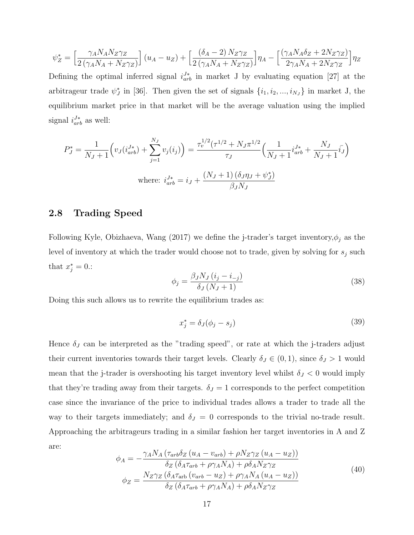$$
\psi_Z^* = \left[\frac{\gamma_A N_A N_Z \gamma_Z}{2\left(\gamma_A N_A + N_Z \gamma_Z\right)}\right] \left(u_A - u_Z\right) + \left[\frac{\left(\delta_A - 2\right) N_Z \gamma_Z}{2\left(\gamma_A N_A + N_Z \gamma_Z\right)}\right] \eta_A - \left[\frac{\left(\gamma_A N_A \delta_Z + 2N_Z \gamma_Z\right)}{2\gamma_A N_A + 2N_Z \gamma_Z}\right] \eta_Z
$$

Defining the optimal inferred signal  $i_{arb}^{J*}$  in market J by evaluating equation [27] at the arbitrageur trade  $\psi_j^*$  in [36]. Then given the set of signals  $\{i_1, i_2, ..., i_{N_J}\}$  in market J, the equilibrium market price in that market will be the average valuation using the implied signal  $i_{arb}^{J*}$  as well:

$$
P_J^* = \frac{1}{N_J + 1} \left( v_J(i_{arb}^{J*}) + \sum_{j=1}^{N_J} v_j(i_j) \right) = \frac{\tau_v^{1/2} (\tau^{1/2} + N_J \pi^{1/2})}{\tau_J} \left( \frac{1}{N_J + 1} i_{arb}^{J*} + \frac{N_J}{N_J + 1} i_J \right)
$$
  
where:  $i_{arb}^{J*} = i_J + \frac{(N_J + 1) (\delta_J \eta_J + \psi_J^*)}{\beta_J N_J}$ 

### 2.8 Trading Speed

Following Kyle, Obizhaeva, Wang (2017) we define the j-trader's target inventory,  $\phi_j$  as the level of inventory at which the trader would choose not to trade, given by solving for  $s_j$  such that  $x_j^* = 0$ .:

$$
\phi_j = \frac{\beta_J N_J \left( i_j - i_{-j} \right)}{\delta_J \left( N_J + 1 \right)}\tag{38}
$$

Doing this such allows us to rewrite the equilibrium trades as:

$$
x_j^* = \delta_J(\phi_j - s_j) \tag{39}
$$

Hence  $\delta_J$  can be interpreted as the "trading speed", or rate at which the j-traders adjust their current inventories towards their target levels. Clearly  $\delta_J \in (0,1)$ , since  $\delta_J > 1$  would mean that the j-trader is overshooting his target inventory level whilst  $\delta_J < 0$  would imply that they're trading away from their targets.  $\delta_J = 1$  corresponds to the perfect competition case since the invariance of the price to individual trades allows a trader to trade all the way to their targets immediately; and  $\delta_J = 0$  corresponds to the trivial no-trade result. Approaching the arbitrageurs trading in a similar fashion her target inventories in A and Z are:

$$
\phi_A = -\frac{\gamma_A N_A \left(\tau_{arb} \delta_Z \left(u_A - v_{arb}\right) + \rho N_Z \gamma_Z \left(u_A - u_Z\right)\right)}{\delta_Z \left(\delta_A \tau_{arb} + \rho \gamma_A N_A\right) + \rho \delta_A N_Z \gamma_Z}
$$
\n
$$
\phi_Z = \frac{N_Z \gamma_Z \left(\delta_A \tau_{arb} \left(v_{arb} - u_Z\right) + \rho \gamma_A N_A \left(u_A - u_Z\right)\right)}{\delta_Z \left(\delta_A \tau_{arb} + \rho \gamma_A N_A\right) + \rho \delta_A N_Z \gamma_Z}
$$
\n
$$
(40)
$$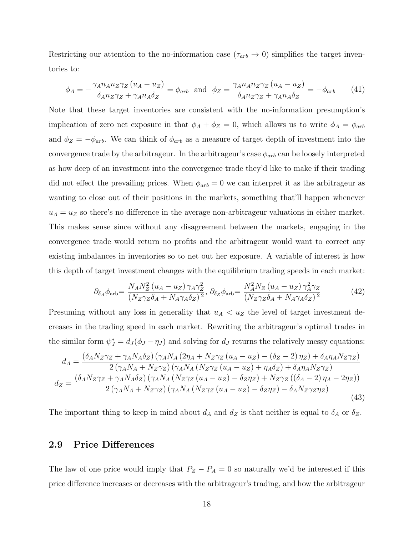Restricting our attention to the no-information case ( $\tau_{arb} \rightarrow 0$ ) simplifies the target inventories to:

$$
\phi_A = -\frac{\gamma_A n_A n_Z \gamma_Z (u_A - u_Z)}{\delta_A n_Z \gamma_Z + \gamma_A n_A \delta_Z} = \phi_{arb} \text{ and } \phi_Z = \frac{\gamma_A n_A n_Z \gamma_Z (u_A - u_Z)}{\delta_A n_Z \gamma_Z + \gamma_A n_A \delta_Z} = -\phi_{arb} \tag{41}
$$

Note that these target inventories are consistent with the no-information presumption's implication of zero net exposure in that  $\phi_A + \phi_Z = 0$ , which allows us to write  $\phi_A = \phi_{arb}$ and  $\phi_Z = -\phi_{arb}$ . We can think of  $\phi_{arb}$  as a measure of target depth of investment into the convergence trade by the arbitrageur. In the arbitrageur's case  $\phi_{arb}$  can be loosely interpreted as how deep of an investment into the convergence trade they'd like to make if their trading did not effect the prevailing prices. When  $\phi_{arb} = 0$  we can interpret it as the arbitrageur as wanting to close out of their positions in the markets, something that'll happen whenever  $u_A = u_Z$  so there's no difference in the average non-arbitrageur valuations in either market. This makes sense since without any disagreement between the markets, engaging in the convergence trade would return no profits and the arbitrageur would want to correct any existing imbalances in inventories so to net out her exposure. A variable of interest is how this depth of target investment changes with the equilibrium trading speeds in each market:

$$
\partial_{\delta_A} \phi_{\rm arb} = \frac{N_A N_Z^2 (u_A - u_Z) \gamma_A \gamma_Z^2}{(N_Z \gamma_Z \delta_A + N_A \gamma_A \delta_Z)^2}, \ \partial_{\delta_Z} \phi_{\rm arb} = \frac{N_A^2 N_Z (u_A - u_Z) \gamma_A^2 \gamma_Z}{(N_Z \gamma_Z \delta_A + N_A \gamma_A \delta_Z)^2}
$$
(42)

Presuming without any loss in generality that  $u_A < u_Z$  the level of target investment decreases in the trading speed in each market. Rewriting the arbitrageur's optimal trades in the similar form  $\psi_J^* = d_J(\phi_J - \eta_J)$  and solving for  $d_J$  returns the relatively messy equations:

$$
d_{A} = \frac{(\delta_{A}N_{Z}\gamma_{Z} + \gamma_{A}N_{A}\delta_{Z})\left(\gamma_{A}N_{A}\left(2\eta_{A} + N_{Z}\gamma_{Z}\left(u_{A} - u_{Z}\right) - \left(\delta_{Z} - 2\right)\eta_{Z}\right) + \delta_{A}\eta_{A}N_{Z}\gamma_{Z}\right)}{2\left(\gamma_{A}N_{A} + N_{Z}\gamma_{Z}\right)\left(\gamma_{A}N_{A}\left(N_{Z}\gamma_{Z}\left(u_{A} - u_{Z}\right) + \eta_{A}\delta_{Z}\right) + \delta_{A}\eta_{A}N_{Z}\gamma_{Z}\right)}
$$
\n
$$
d_{Z} = \frac{(\delta_{A}N_{Z}\gamma_{Z} + \gamma_{A}N_{A}\delta_{Z})\left(\gamma_{A}N_{A}\left(N_{Z}\gamma_{Z}\left(u_{A} - u_{Z}\right) - \delta_{Z}\eta_{Z}\right) + N_{Z}\gamma_{Z}\left(\left(\delta_{A} - 2\right)\eta_{A} - 2\eta_{Z}\right)\right)}{2\left(\gamma_{A}N_{A} + N_{Z}\gamma_{Z}\right)\left(\gamma_{A}N_{A}\left(N_{Z}\gamma_{Z}\left(u_{A} - u_{Z}\right) - \delta_{Z}\eta_{Z}\right) - \delta_{A}N_{Z}\gamma_{Z}\eta_{Z}\right)}
$$
\n
$$
\tag{43}
$$

The important thing to keep in mind about  $d_A$  and  $d_Z$  is that neither is equal to  $\delta_A$  or  $\delta_Z$ .

### 2.9 Price Differences

The law of one price would imply that  $P_Z - P_A = 0$  so naturally we'd be interested if this price difference increases or decreases with the arbitrageur's trading, and how the arbitrageur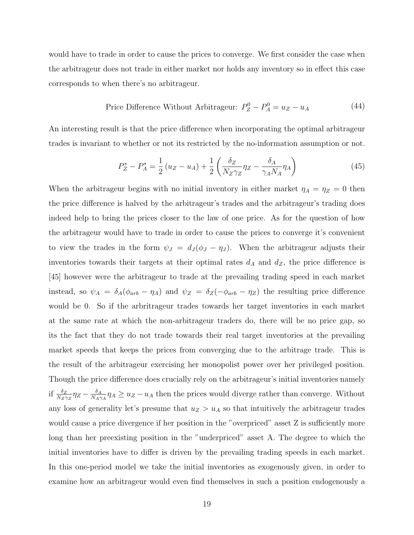would have to trade in order to cause the prices to converge. We first consider the case when the arbitrageur does not trade in either market nor holds any inventory so in effect this case corresponds to when there's no arbitrageur.

$$
Price Difference Without Arbitrageur: P_Z^0 - P_A^0 = u_Z - u_A \tag{44}
$$

An interesting result is that the price difference when incorporating the optimal arbitrageur trades is invariant to whether or not its restricted by the no-information assumption or not.

$$
P_Z^* - P_A^* = \frac{1}{2} (u_Z - u_A) + \frac{1}{2} \left( \frac{\delta_Z}{N_Z \gamma_Z} \eta_Z - \frac{\delta_A}{\gamma_A N_A} \eta_A \right)
$$
(45)

When the arbitrageur begins with no initial inventory in either market  $\eta_A = \eta_Z = 0$  then the price difference is halved by the arbitrageur's trades and the arbitrageur's trading does indeed help to bring the prices closer to the law of one price. As for the question of how the arbitrageur would have to trade in order to cause the prices to converge it's convenient to view the trades in the form  $\psi_J = d_J (\phi_J - \eta_J)$ . When the arbitrageur adjusts their inventories towards their targets at their optimal rates  $d_A$  and  $d_Z$ , the price difference is [45] however were the arbitrageur to trade at the prevailing trading speed in each market instead, so  $\psi_A = \delta_A(\phi_{arb} - \eta_A)$  and  $\psi_Z = \delta_Z(-\phi_{arb} - \eta_Z)$  the resulting price difference would be 0. So if the arbritrageur trades towards her target inventories in each market at the same rate at which the non-arbitrageur traders do, there will be no price gap, so its the fact that they do not trade towards their real target inventories at the prevailing market speeds that keeps the prices from converging due to the arbitrage trade. This is the result of the arbitrageur exercising her monopolist power over her privileged position. Though the price difference does crucially rely on the arbitrageur's initial inventories namely if  $\frac{\delta_Z}{N_Z \gamma_Z} \eta_Z - \frac{\delta_A}{N_A \gamma}$  $\frac{\delta_A}{N_A\gamma_A}\eta_A \geq u_Z - u_A$  then the prices would diverge rather than converge. Without any loss of generality let's presume that  $u_Z > u_A$  so that intuitively the arbitrageur trades would cause a price divergence if her position in the "overpriced" asset Z is sufficiently more long than her preexisting position in the "underpriced" asset A. The degree to which the initial inventories have to differ is driven by the prevailing trading speeds in each market. In this one-period model we take the initial inventories as exogenously given, in order to examine how an arbitrageur would even find themselves in such a position endogenously a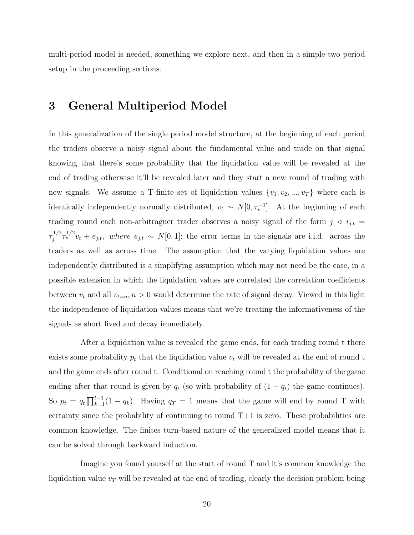multi-period model is needed, something we explore next, and then in a simple two period setup in the proceeding sections.

# 3 General Multiperiod Model

In this generalization of the single period model structure, at the beginning of each period the traders observe a noisy signal about the fundamental value and trade on that signal knowing that there's some probability that the liquidation value will be revealed at the end of trading otherwise it'll be revealed later and they start a new round of trading with new signals. We assume a T-finite set of liquidation values  $\{v_1, v_2, ..., v_T\}$  where each is identically independently normally distributed,  $v_t \sim N[0, \tau_v^{-1}]$ . At the beginning of each trading round each non-arbitraguer trader observes a noisy signal of the form  $j \prec i_{j,t}$  =  $\tau_i^{1/2}$  $j_1^{1/2}\tau_v^{1/2}v_t + e_{j,t}$ , where  $e_{j,t} \sim N[0,1]$ ; the error terms in the signals are i.i.d. across the traders as well as across time. The assumption that the varying liquidation values are independently distributed is a simplifying assumption which may not need be the case, in a possible extension in which the liquidation values are correlated the correlation coefficients between  $v_t$  and all  $v_{t=n}$ ,  $n > 0$  would determine the rate of signal decay. Viewed in this light the independence of liquidation values means that we're treating the informativeness of the signals as short lived and decay immediately.

After a liquidation value is revealed the game ends, for each trading round t there exists some probability  $p_t$  that the liquidation value  $v_t$  will be revealed at the end of round t and the game ends after round t. Conditional on reaching round t the probability of the game ending after that round is given by  $q_t$  (so with probability of  $(1 - q_t)$  the game continues). So  $p_t = q_t \prod_{k=1}^{t-1} (1 - q_k)$ . Having  $q_T = 1$  means that the game will end by round T with certainty since the probability of continuing to round  $T+1$  is zero. These probabilities are common knowledge. The finites turn-based nature of the generalized model means that it can be solved through backward induction.

Imagine you found yourself at the start of round T and it's common knowledge the liquidation value  $v<sub>T</sub>$  will be revealed at the end of trading, clearly the decision problem being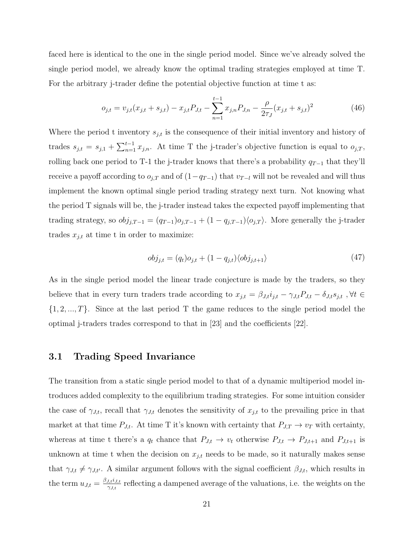faced here is identical to the one in the single period model. Since we've already solved the single period model, we already know the optimal trading strategies employed at time T. For the arbitrary j-trader define the potential objective function at time t as:

$$
o_{j,t} = v_{j,t}(x_{j,t} + s_{j,t}) - x_{j,t}P_{J,t} - \sum_{n=1}^{t-1} x_{j,n}P_{J,n} - \frac{\rho}{2\tau_J}(x_{j,t} + s_{j,t})^2
$$
(46)

Where the period t inventory  $s_{j,t}$  is the consequence of their initial inventory and history of trades  $s_{j,t} = s_{j,1} + \sum_{n=1}^{t-1} x_{j,n}$ . At time T the j-trader's objective function is equal to  $o_{j,T}$ , rolling back one period to T-1 the j-trader knows that there's a probability  $q_{T-1}$  that they'll receive a payoff according to  $o_{j,T}$  and of  $(1-q_{T-1})$  that  $v_{T-l}$  will not be revealed and will thus implement the known optimal single period trading strategy next turn. Not knowing what the period T signals will be, the j-trader instead takes the expected payoff implementing that trading strategy, so  $obj_{j,T-1} = (q_{T-1})o_{j,T-1} + (1 - q_{j,T-1})\langle o_{j,T} \rangle$ . More generally the j-trader trades  $x_{j,t}$  at time t in order to maximize:

$$
obj_{j,t} = (q_t)o_{j,t} + (1 - q_{j,t})\langle obj_{j,t+1} \rangle \tag{47}
$$

As in the single period model the linear trade conjecture is made by the traders, so they believe that in every turn traders trade according to  $x_{j,t} = \beta_{J,t} i_{j,t} - \gamma_{J,t} P_{J,t} - \delta_{J,t} s_{j,t}$ ,  $\forall t \in$  $\{1, 2, ..., T\}$ . Since at the last period T the game reduces to the single period model the optimal j-traders trades correspond to that in [23] and the coefficients [22].

#### 3.1 Trading Speed Invariance

The transition from a static single period model to that of a dynamic multiperiod model introduces added complexity to the equilibrium trading strategies. For some intuition consider the case of  $\gamma_{J,t}$ , recall that  $\gamma_{J,t}$  denotes the sensitivity of  $x_{j,t}$  to the prevailing price in that market at that time  $P_{J,t}$ . At time T it's known with certainty that  $P_{J,T} \to v_T$  with certainty, whereas at time t there's a  $q_t$  chance that  $P_{J,t} \to v_t$  otherwise  $P_{J,t} \to P_{J,t+1}$  and  $P_{J,t+1}$  is unknown at time t when the decision on  $x_{j,t}$  needs to be made, so it naturally makes sense that  $\gamma_{J,t} \neq \gamma_{J,t'}$ . A similar argument follows with the signal coefficient  $\beta_{J,t}$ , which results in the term  $u_{J,t} = \frac{\beta_{J,t} i_{J,t}}{\gamma_{J,t}}$  $\frac{J_t t^i J_t t}{\gamma_{J,t}}$  reflecting a dampened average of the valuations, i.e. the weights on the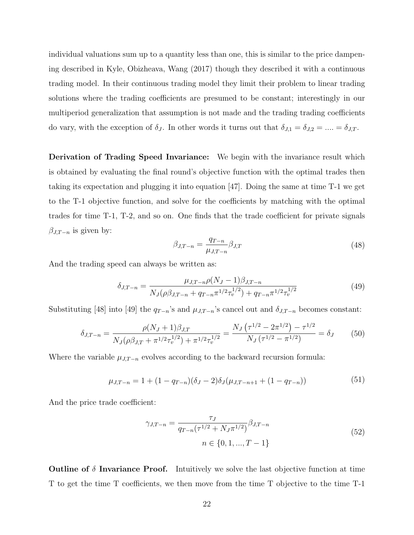individual valuations sum up to a quantity less than one, this is similar to the price dampening described in Kyle, Obizheava, Wang (2017) though they described it with a continuous trading model. In their continuous trading model they limit their problem to linear trading solutions where the trading coefficients are presumed to be constant; interestingly in our multiperiod generalization that assumption is not made and the trading trading coefficients do vary, with the exception of  $\delta_J$ . In other words it turns out that  $\delta_{J,1} = \delta_{J,2} = ... = \delta_{J,T}$ .

Derivation of Trading Speed Invariance: We begin with the invariance result which is obtained by evaluating the final round's objective function with the optimal trades then taking its expectation and plugging it into equation [47]. Doing the same at time T-1 we get to the T-1 objective function, and solve for the coefficients by matching with the optimal trades for time T-1, T-2, and so on. One finds that the trade coefficient for private signals  $\beta_{J,T-n}$  is given by:

$$
\beta_{J,T-n} = \frac{q_{T-n}}{\mu_{J,T-n}} \beta_{J,T} \tag{48}
$$

And the trading speed can always be written as:

$$
\delta_{J,T-n} = \frac{\mu_{J,T-n}\rho(N_J-1)\beta_{J,T-n}}{N_J(\rho\beta_{J,T-n} + q_{T-n}\pi^{1/2}\tau_v^{1/2}) + q_{T-n}\pi^{1/2}\tau_v^{1/2}}
$$
(49)

Substituting [48] into [49] the  $q_{T-n}$ 's and  $\mu_{J,T-n}$ 's cancel out and  $\delta_{J,T-n}$  becomes constant:

$$
\delta_{J,T-n} = \frac{\rho(N_J+1)\beta_{J,T}}{N_J(\rho\beta_{J,T} + \pi^{1/2}\tau_v^{1/2}) + \pi^{1/2}\tau_v^{1/2}} = \frac{N_J(\tau^{1/2} - 2\pi^{1/2}) - \tau^{1/2}}{N_J(\tau^{1/2} - \pi^{1/2})} = \delta_J
$$
(50)

Where the variable  $\mu_{J,T-n}$  evolves according to the backward recursion formula:

$$
\mu_{J,T-n} = 1 + (1 - q_{T-n})(\delta_J - 2)\delta_J(\mu_{J,T-n+1} + (1 - q_{T-n}))
$$
\n(51)

And the price trade coefficient:

$$
\gamma_{J,T-n} = \frac{\tau_J}{q_{T-n}(\tau^{1/2} + N_J \pi^{1/2})} \beta_{J,T-n}
$$
  
\n
$$
n \in \{0, 1, ..., T-1\}
$$
\n(52)

**Outline of**  $\delta$  **Invariance Proof.** Intuitively we solve the last objective function at time T to get the time T coefficients, we then move from the time T objective to the time T-1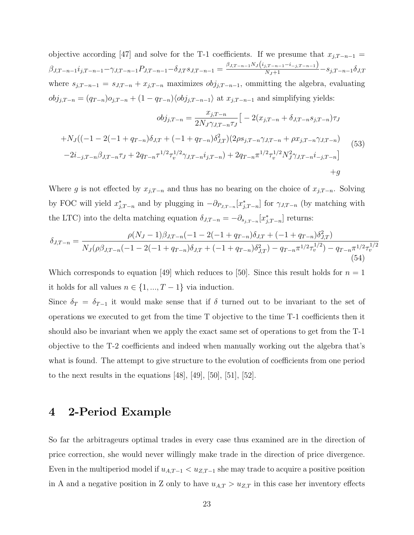objective according [47] and solve for the T-1 coefficients. If we presume that  $x_{j,T-n-1} =$  $\beta_{J,T-n-1}i_{j,T-n-1}-\gamma_{J,T-n-1}P_{J,T-n-1}-\delta_{J,T}s_{J,T-n-1}=\frac{\beta_{J,T-n-1}N_J(i_{j,T-n-1}-i_{-j,T-n-1})}{N_J+1}-s_{j,T-n-1}\delta_{J,T-n-1}$ where  $s_{j,T-n-1} = s_{J,T-n} + x_{j,T-n}$  maximizes  $obj_{j,T-n-1}$ , ommitting the algebra, evaluating  $obj_{j,T-n} = (q_{T-n})o_{j,T-n} + (1 - q_{T-n})\langle obj_{j,T-n-1} \rangle$  at  $x_{j,T-n-1}$  and simplifying yields:

$$
obj_{j,T-n} = \frac{x_{j,T-n}}{2N_J \gamma_{J,T-n} \tau_J} \Big[ -2(x_{j,T-n} + \delta_{J,T-n} s_{j,T-n}) \tau_J
$$
  
+
$$
N_J \big( (-1 - 2(-1 + q_{T-n}) \delta_{J,T} + (-1 + q_{T-n}) \delta_{J,T}^2) (2\rho s_{j,T-n} \gamma_{J,T-n} + \rho x_{j,T-n} \gamma_{J,T-n})
$$
  
-
$$
2i_{-j,T-n} \beta_{J,T-n} \tau_J + 2q_{T-n} \tau^{1/2} \tau_v^{1/2} \gamma_{J,T-n} i_{j,T-n}) + 2q_{T-n} \pi^{1/2} \tau_v^{1/2} N_J^2 \gamma_{J,T-n} i_{-j,T-n} \Big]
$$
  
+
$$
g
$$

Where g is not effected by  $x_{j,T-n}$  and thus has no bearing on the choice of  $x_{j,T-n}$ . Solving by FOC will yield  $x_{j,T-n}^*$  and by plugging in  $-\partial_{P_{J,T-n}}[x_{j,T-n}^*]$  for  $\gamma_{J,T-n}$  (by matching with the LTC) into the delta matching equation  $\delta_{J,T-n} = -\partial_{s_{j,T-n}}[x_{j,T-n}^*]$  returns:

$$
\delta_{J,T-n} = \frac{\rho(N_J - 1)\beta_{J,T-n}(-1 - 2(-1 + q_{T-n})\delta_{J,T} + (-1 + q_{T-n})\delta_{J,T}^2)}{N_J(\rho\beta_{J,T-n}(-1 - 2(-1 + q_{T-n})\delta_{J,T} + (-1 + q_{T-n})\delta_{J,T}^2) - q_{T-n}\pi^{1/2}\tau_v^{1/2}) - q_{T-n}\pi^{1/2}\tau_v^{1/2}}
$$
\n(54)

Which corresponds to equation [49] which reduces to [50]. Since this result holds for  $n = 1$ it holds for all values  $n \in \{1, ..., T - 1\}$  via induction.

Since  $\delta_T = \delta_{T-1}$  it would make sense that if  $\delta$  turned out to be invariant to the set of operations we executed to get from the time T objective to the time T-1 coefficients then it should also be invariant when we apply the exact same set of operations to get from the T-1 objective to the T-2 coefficients and indeed when manually working out the algebra that's what is found. The attempt to give structure to the evolution of coefficients from one period to the next results in the equations  $[48]$ ,  $[49]$ ,  $[50]$ ,  $[51]$ ,  $[52]$ .

# 4 2-Period Example

So far the arbitrageurs optimal trades in every case thus examined are in the direction of price correction, she would never willingly make trade in the direction of price divergence. Even in the multiperiod model if  $u_{A,T-1} < u_{Z,T-1}$  she may trade to acquire a positive position in A and a negative position in Z only to have  $u_{A,T} > u_{Z,T}$  in this case her inventory effects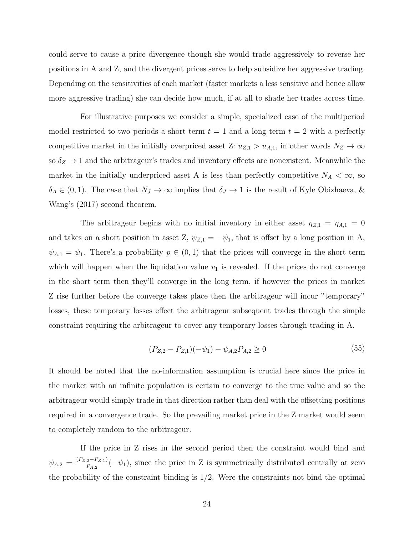could serve to cause a price divergence though she would trade aggressively to reverse her positions in A and Z, and the divergent prices serve to help subsidize her aggressive trading. Depending on the sensitivities of each market (faster markets a less sensitive and hence allow more aggressive trading) she can decide how much, if at all to shade her trades across time.

For illustrative purposes we consider a simple, specialized case of the multiperiod model restricted to two periods a short term  $t = 1$  and a long term  $t = 2$  with a perfectly competitive market in the initially overpriced asset Z:  $u_{Z,1} > u_{A,1}$ , in other words  $N_Z \to \infty$ so  $\delta_Z \rightarrow 1$  and the arbitrageur's trades and inventory effects are nonexistent. Meanwhile the market in the initially underpriced asset A is less than perfectly competitive  $N_A < \infty$ , so  $\delta_A \in (0,1)$ . The case that  $N_J \to \infty$  implies that  $\delta_J \to 1$  is the result of Kyle Obizhaeva, & Wang's (2017) second theorem.

The arbitrageur begins with no initial inventory in either asset  $\eta_{Z,1} = \eta_{A,1} = 0$ and takes on a short position in asset Z,  $\psi_{Z,1} = -\psi_1$ , that is offset by a long position in A,  $\psi_{A,1} = \psi_1$ . There's a probability  $p \in (0,1)$  that the prices will converge in the short term which will happen when the liquidation value  $v_1$  is revealed. If the prices do not converge in the short term then they'll converge in the long term, if however the prices in market Z rise further before the converge takes place then the arbitrageur will incur "temporary" losses, these temporary losses effect the arbitrageur subsequent trades through the simple constraint requiring the arbitrageur to cover any temporary losses through trading in A.

$$
(P_{Z,2} - P_{Z,1})(-\psi_1) - \psi_{A,2}P_{A,2} \ge 0
$$
\n<sup>(55)</sup>

It should be noted that the no-information assumption is crucial here since the price in the market with an infinite population is certain to converge to the true value and so the arbitrageur would simply trade in that direction rather than deal with the offsetting positions required in a convergence trade. So the prevailing market price in the Z market would seem to completely random to the arbitrageur.

If the price in Z rises in the second period then the constraint would bind and  $\psi_{A,2} = \frac{(P_{Z,2}-P_{Z,1})}{P_{A,2}}$  $\frac{p_2 - P_{Z,1}}{P_{A,2}}(-\psi_1)$ , since the price in Z is symmetrically distributed centrally at zero the probability of the constraint binding is  $1/2$ . Were the constraints not bind the optimal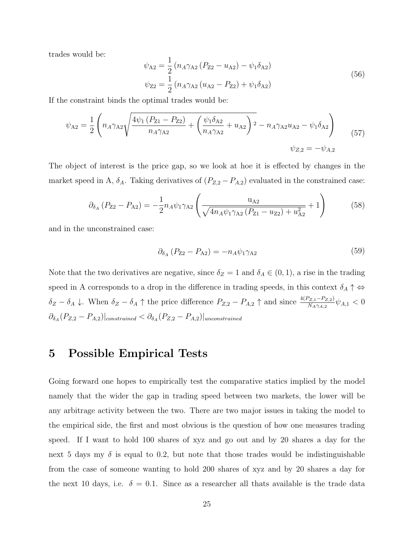trades would be:

$$
\psi_{A2} = \frac{1}{2} (n_A \gamma_{A2} (P_{Z2} - u_{A2}) - \psi_1 \delta_{A2})
$$
  

$$
\psi_{Z2} = \frac{1}{2} (n_A \gamma_{A2} (u_{A2} - P_{Z2}) + \psi_1 \delta_{A2})
$$
 (56)

If the constraint binds the optimal trades would be:

$$
\psi_{A2} = \frac{1}{2} \left( n_A \gamma_{A2} \sqrt{\frac{4\psi_1 \left( P_{Z1} - P_{Z2} \right)}{n_A \gamma_{A2}} + \left( \frac{\psi_1 \delta_{A2}}{n_A \gamma_{A2}} + u_{A2} \right)^2} - n_A \gamma_{A2} u_{A2} - \psi_1 \delta_{A2} \right) \tag{57}
$$
\n
$$
\psi_{Z,2} = -\psi_{A,2}
$$

The object of interest is the price gap, so we look at hoe it is effected by changes in the market speed in A,  $\delta_A$ . Taking derivatives of  $(P_{Z,2} - P_{A,2})$  evaluated in the constrained case:

$$
\partial_{\delta_A} (P_{Z2} - P_{A2}) = -\frac{1}{2} n_A \psi_1 \gamma_{A2} \left( \frac{u_{A2}}{\sqrt{4n_A \psi_1 \gamma_{A2} (P_{Z1} - u_{Z2}) + u_{A2}^2}} + 1 \right) \tag{58}
$$

and in the unconstrained case:

$$
\partial_{\delta_A} (P_{Z2} - P_{A2}) = -n_A \psi_1 \gamma_{A2} \tag{59}
$$

Note that the two derivatives are negative, since  $\delta_Z = 1$  and  $\delta_A \in (0, 1)$ , a rise in the trading speed in A corresponds to a drop in the difference in trading speeds, in this context  $\delta_A \uparrow \Leftrightarrow$  $\delta_Z - \delta_A \downarrow$ . When  $\delta_Z - \delta_A \uparrow$  the price difference  $P_{Z,2} - P_{A,2} \uparrow$  and since  $\frac{4(P_{Z,1} - P_{Z,2})}{N_A \gamma_{A,2}} \psi_{A,1} < 0$  $\partial_{\delta_A} (P_{Z,2} - P_{A,2})|_{constrained} < \partial_{\delta_A} (P_{Z,2} - P_{A,2})|_{unconstrained}$ 

# 5 Possible Empirical Tests

Going forward one hopes to empirically test the comparative statics implied by the model namely that the wider the gap in trading speed between two markets, the lower will be any arbitrage activity between the two. There are two major issues in taking the model to the empirical side, the first and most obvious is the question of how one measures trading speed. If I want to hold 100 shares of xyz and go out and by 20 shares a day for the next 5 days my  $\delta$  is equal to 0.2, but note that those trades would be indistinguishable from the case of someone wanting to hold 200 shares of xyz and by 20 shares a day for the next 10 days, i.e.  $\delta = 0.1$ . Since as a researcher all thats available is the trade data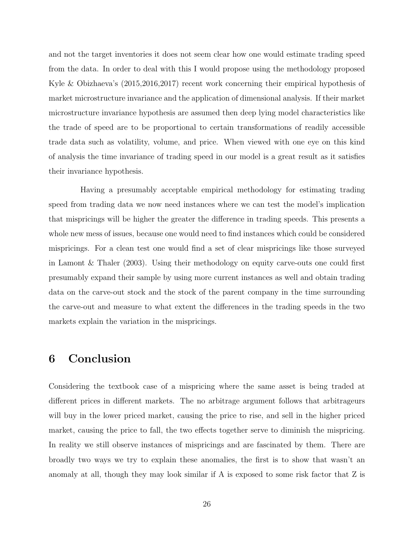and not the target inventories it does not seem clear how one would estimate trading speed from the data. In order to deal with this I would propose using the methodology proposed Kyle & Obizhaeva's (2015,2016,2017) recent work concerning their empirical hypothesis of market microstructure invariance and the application of dimensional analysis. If their market microstructure invariance hypothesis are assumed then deep lying model characteristics like the trade of speed are to be proportional to certain transformations of readily accessible trade data such as volatility, volume, and price. When viewed with one eye on this kind of analysis the time invariance of trading speed in our model is a great result as it satisfies their invariance hypothesis.

Having a presumably acceptable empirical methodology for estimating trading speed from trading data we now need instances where we can test the model's implication that mispricings will be higher the greater the difference in trading speeds. This presents a whole new mess of issues, because one would need to find instances which could be considered mispricings. For a clean test one would find a set of clear mispricings like those surveyed in Lamont & Thaler (2003). Using their methodology on equity carve-outs one could first presumably expand their sample by using more current instances as well and obtain trading data on the carve-out stock and the stock of the parent company in the time surrounding the carve-out and measure to what extent the differences in the trading speeds in the two markets explain the variation in the mispricings.

# 6 Conclusion

Considering the textbook case of a mispricing where the same asset is being traded at different prices in different markets. The no arbitrage argument follows that arbitrageurs will buy in the lower priced market, causing the price to rise, and sell in the higher priced market, causing the price to fall, the two effects together serve to diminish the mispricing. In reality we still observe instances of mispricings and are fascinated by them. There are broadly two ways we try to explain these anomalies, the first is to show that wasn't an anomaly at all, though they may look similar if A is exposed to some risk factor that Z is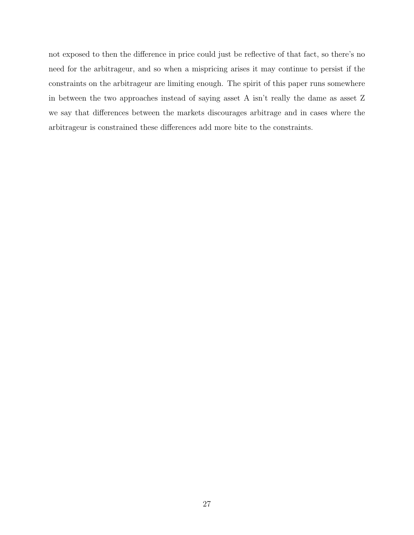not exposed to then the difference in price could just be reflective of that fact, so there's no need for the arbitrageur, and so when a mispricing arises it may continue to persist if the constraints on the arbitrageur are limiting enough. The spirit of this paper runs somewhere in between the two approaches instead of saying asset A isn't really the dame as asset Z we say that differences between the markets discourages arbitrage and in cases where the arbitrageur is constrained these differences add more bite to the constraints.